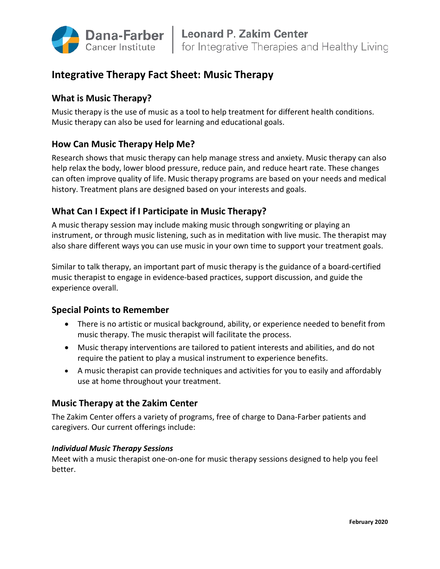

# **Integrative Therapy Fact Sheet: Music Therapy**

# **What is Music Therapy?**

Music therapy is the use of music as a tool to help treatment for different health conditions. Music therapy can also be used for learning and educational goals.

# **How Can Music Therapy Help Me?**

Research shows that music therapy can help manage stress and anxiety. Music therapy can also help relax the body, lower blood pressure, reduce pain, and reduce heart rate. These changes can often improve quality of life. Music therapy programs are based on your needs and medical history. Treatment plans are designed based on your interests and goals.

# **What Can I Expect if I Participate in Music Therapy?**

A music therapy session may include making music through songwriting or playing an instrument, or through music listening, such as in meditation with live music. The therapist may also share different ways you can use music in your own time to support your treatment goals.

Similar to talk therapy, an important part of music therapy is the guidance of a board-certified music therapist to engage in evidence-based practices, support discussion, and guide the experience overall.

# **Special Points to Remember**

- There is no artistic or musical background, ability, or experience needed to benefit from music therapy. The music therapist will facilitate the process.
- Music therapy interventions are tailored to patient interests and abilities, and do not require the patient to play a musical instrument to experience benefits.
- A music therapist can provide techniques and activities for you to easily and affordably use at home throughout your treatment.

# **Music Therapy at the Zakim Center**

The Zakim Center offers a variety of programs, free of charge to Dana-Farber patients and caregivers. Our current offerings include:

## *Individual Music Therapy Sessions*

Meet with a music therapist one-on-one for music therapy sessions designed to help you feel better.